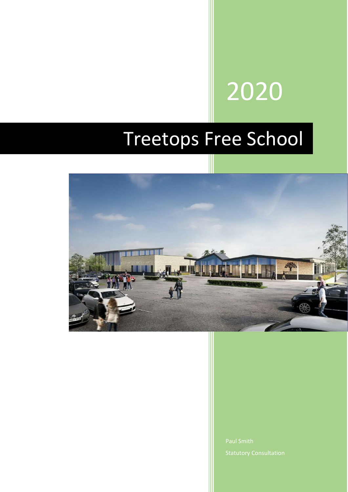# 2020

# Treetops Free School

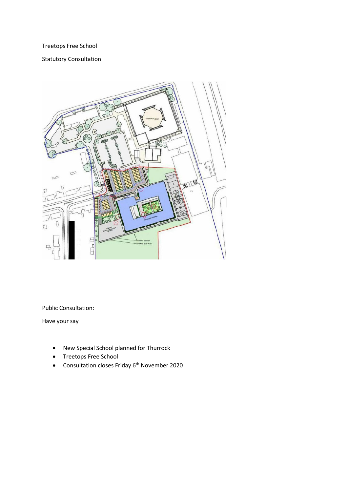## Treetops Free School

## Statutory Consultation



Public Consultation:

Have your say

- New Special School planned for Thurrock
- Treetops Free School
- Consultation closes Friday 6th November 2020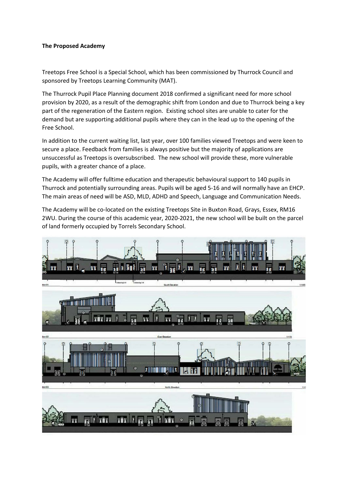#### **The Proposed Academy**

Treetops Free School is a Special School, which has been commissioned by Thurrock Council and sponsored by Treetops Learning Community (MAT).

The Thurrock Pupil Place Planning document 2018 confirmed a significant need for more school provision by 2020, as a result of the demographic shift from London and due to Thurrock being a key part of the regeneration of the Eastern region. Existing school sites are unable to cater for the demand but are supporting additional pupils where they can in the lead up to the opening of the Free School.

In addition to the current waiting list, last year, over 100 families viewed Treetops and were keen to secure a place. Feedback from families is always positive but the majority of applications are unsuccessful as Treetops is oversubscribed. The new school will provide these, more vulnerable pupils, with a greater chance of a place.

The Academy will offer fulltime education and therapeutic behavioural support to 140 pupils in Thurrock and potentially surrounding areas. Pupils will be aged 5-16 and will normally have an EHCP. The main areas of need will be ASD, MLD, ADHD and Speech, Language and Communication Needs.

The Academy will be co-located on the existing Treetops Site in Buxton Road, Grays, Essex, RM16 2WU. During the course of this academic year, 2020-2021, the new school will be built on the parcel of land formerly occupied by Torrels Secondary School.

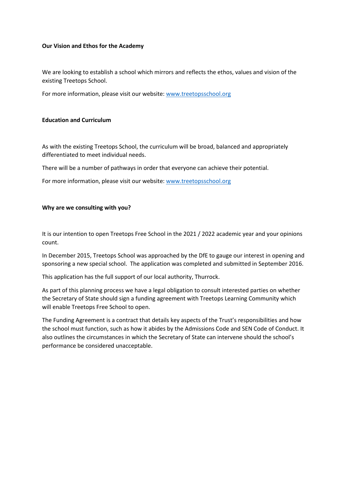#### **Our Vision and Ethos for the Academy**

We are looking to establish a school which mirrors and reflects the ethos, values and vision of the existing Treetops School.

For more information, please visit our website: [www.treetopsschool.org](http://www.treetopsschool.org/)

#### **Education and Curriculum**

As with the existing Treetops School, the curriculum will be broad, balanced and appropriately differentiated to meet individual needs.

There will be a number of pathways in order that everyone can achieve their potential.

For more information, please visit our website: [www.treetopsschool.org](http://www.treetopsschool.org/)

#### **Why are we consulting with you?**

It is our intention to open Treetops Free School in the 2021 / 2022 academic year and your opinions count.

In December 2015, Treetops School was approached by the DfE to gauge our interest in opening and sponsoring a new special school. The application was completed and submitted in September 2016.

This application has the full support of our local authority, Thurrock.

As part of this planning process we have a legal obligation to consult interested parties on whether the Secretary of State should sign a funding agreement with Treetops Learning Community which will enable Treetops Free School to open.

The Funding Agreement is a contract that details key aspects of the Trust's responsibilities and how the school must function, such as how it abides by the Admissions Code and SEN Code of Conduct. It also outlines the circumstances in which the Secretary of State can intervene should the school's performance be considered unacceptable.